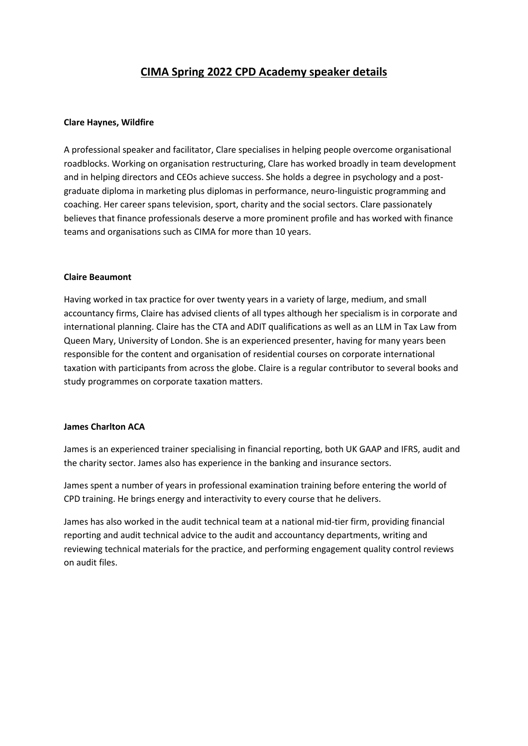# **CIMA Spring 2022 CPD Academy speaker details**

## **Clare Haynes, Wildfire**

A professional speaker and facilitator, Clare specialises in helping people overcome organisational roadblocks. Working on organisation restructuring, Clare has worked broadly in team development and in helping directors and CEOs achieve success. She holds a degree in psychology and a postgraduate diploma in marketing plus diplomas in performance, neuro-linguistic programming and coaching. Her career spans television, sport, charity and the social sectors. Clare passionately believes that finance professionals deserve a more prominent profile and has worked with finance teams and organisations such as CIMA for more than 10 years.

## **Claire Beaumont**

Having worked in tax practice for over twenty years in a variety of large, medium, and small accountancy firms, Claire has advised clients of all types although her specialism is in corporate and international planning. Claire has the CTA and ADIT qualifications as well as an LLM in Tax Law from Queen Mary, University of London. She is an experienced presenter, having for many years been responsible for the content and organisation of residential courses on corporate international taxation with participants from across the globe. Claire is a regular contributor to several books and study programmes on corporate taxation matters.

## **James Charlton ACA**

James is an experienced trainer specialising in financial reporting, both UK GAAP and IFRS, audit and the charity sector. James also has experience in the banking and insurance sectors.

James spent a number of years in professional examination training before entering the world of CPD training. He brings energy and interactivity to every course that he delivers.

James has also worked in the audit technical team at a national mid-tier firm, providing financial reporting and audit technical advice to the audit and accountancy departments, writing and reviewing technical materials for the practice, and performing engagement quality control reviews on audit files.